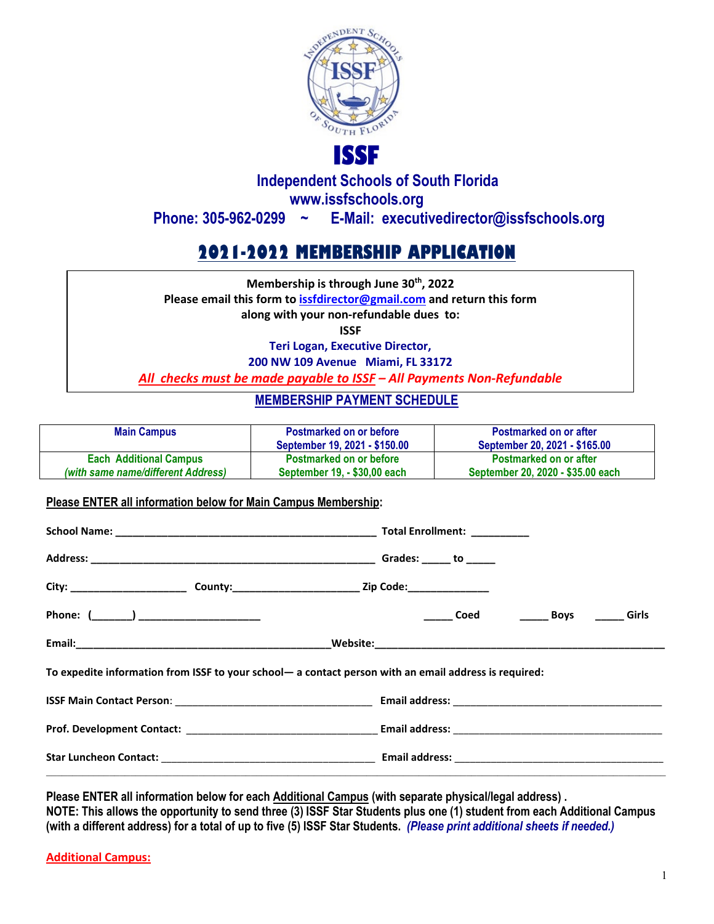

## **Independent Schools of South Florida www.issfschools.org Phone: 305-962-0299 ~ E-Mail: executivedirector@issfschools.org**

# **2021-2022 MEMBERSHIP APPLICATION**

**Membership is through June 30th, 2022 Please email this form t[o issfdirector@gmail.com](mailto:issfdirector@gmail.com) and return this form along with your non-refundable dues to: ISSF Teri Logan, Executive Director,** 

**200 NW 109 Avenue Miami, FL 33172**

*All checks must be made payable to ISSF – All Payments Non-Refundable*

### **MEMBERSHIP PAYMENT SCHEDULE**

| <b>Main Campus</b>                 | <b>Postmarked on or before</b><br>September 19, 2021 - \$150.00 | <b>Postmarked on or after</b><br>September 20, 2021 - \$165.00 |
|------------------------------------|-----------------------------------------------------------------|----------------------------------------------------------------|
| <b>Each Additional Campus</b>      | <b>Postmarked on or before</b>                                  | <b>Postmarked on or after</b>                                  |
| (with same name/different Address) | September 19, - \$30,00 each                                    | September 20, 2020 - \$35.00 each                              |

#### **Please ENTER all information below for Main Campus Membership:**

|                                                                                                                                                                                                                               | Total Enrollment: _________ |      |       |
|-------------------------------------------------------------------------------------------------------------------------------------------------------------------------------------------------------------------------------|-----------------------------|------|-------|
|                                                                                                                                                                                                                               |                             |      |       |
|                                                                                                                                                                                                                               |                             |      |       |
|                                                                                                                                                                                                                               | <b>Coed</b>                 | Boys | Girls |
|                                                                                                                                                                                                                               |                             |      |       |
| To expedite information from ISSF to your school- a contact person with an email address is required:                                                                                                                         |                             |      |       |
|                                                                                                                                                                                                                               |                             |      |       |
| Prof. Development Contact: Law Content: Law Content: Law Content: Law Content: Law Content: Law Content: Law Content: Law Content: Law Content: Law Content: Law Content: Law Content: Law Content: Law Content: Law Content: |                             |      |       |
|                                                                                                                                                                                                                               |                             |      |       |
|                                                                                                                                                                                                                               |                             |      |       |

**Please ENTER all information below for each Additional Campus (with separate physical/legal address) . NOTE: This allows the opportunity to send three (3) ISSF Star Students plus one (1) student from each Additional Campus (with a different address) for a total of up to five (5) ISSF Star Students.** *(Please print additional sheets if needed.)*

**Additional Campus:**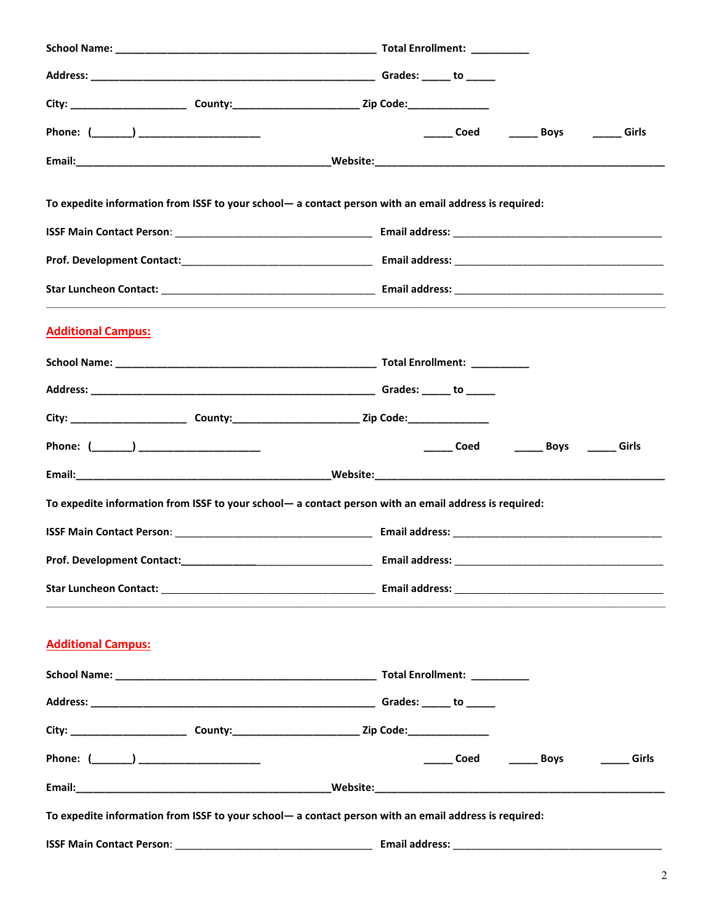| Phone: (_______) ______________________ |                                                                                                           | ______ Coed ________ Boys ________ Girls |
|-----------------------------------------|-----------------------------------------------------------------------------------------------------------|------------------------------------------|
|                                         |                                                                                                           |                                          |
|                                         | To expedite information from ISSF to your school- a contact person with an email address is required:     |                                          |
|                                         |                                                                                                           |                                          |
|                                         |                                                                                                           |                                          |
|                                         |                                                                                                           |                                          |
| <b>Additional Campus:</b>               |                                                                                                           |                                          |
|                                         |                                                                                                           |                                          |
|                                         |                                                                                                           |                                          |
|                                         |                                                                                                           |                                          |
| Phone: (_______) ______________________ |                                                                                                           | ______ Coed ________ Boys _______ Girls  |
|                                         |                                                                                                           |                                          |
|                                         | To expedite information from ISSF to your school- a contact person with an email address is required:     |                                          |
|                                         |                                                                                                           |                                          |
| Prof. Development Contact:              |                                                                                                           | <b>Email address:</b>                    |
|                                         |                                                                                                           |                                          |
| <b>Additional Campus:</b>               |                                                                                                           |                                          |
|                                         |                                                                                                           |                                          |
|                                         |                                                                                                           |                                          |
|                                         |                                                                                                           |                                          |
|                                         | City: __________________________________County:________________________________Zip Code:_________________ |                                          |
| Phone: (_______) ______________________ |                                                                                                           | ______ Coed    ______ Boys<br>Girls      |
|                                         |                                                                                                           |                                          |
|                                         | To expedite information from ISSF to your school- a contact person with an email address is required:     |                                          |
|                                         |                                                                                                           |                                          |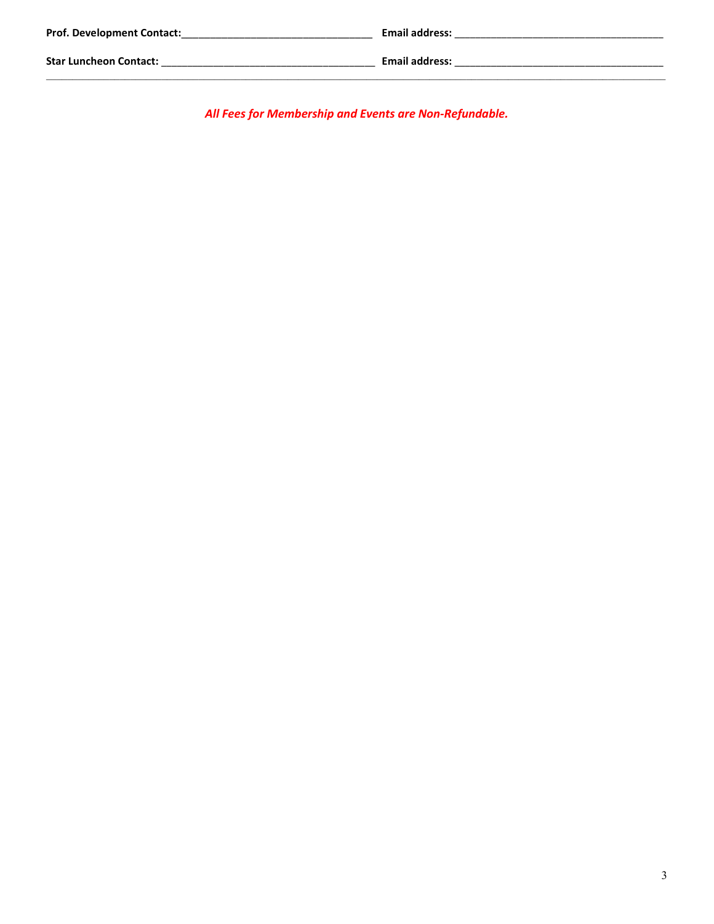| <b>Prof. Development Contact:</b> | <b>Email address:</b> |
|-----------------------------------|-----------------------|
| <b>Star Luncheon Contact:</b>     | <b>Email address:</b> |

All Fees for Membership and Events are Non-Refundable.